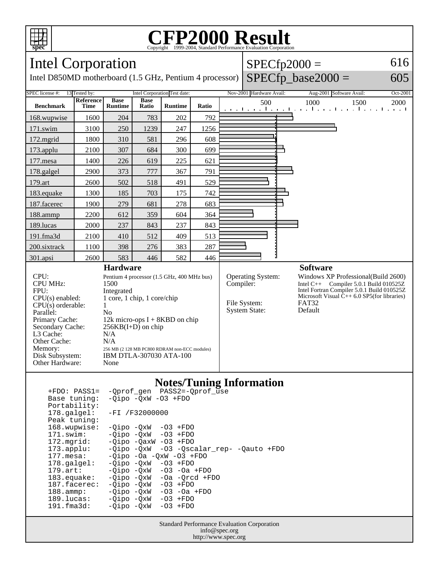

#### **CFP2000 Result** Copyright  $\overline{\odot}$  1999-2004, Standard Performance Evaluation

Intel Corporation

Intel D850MD motherboard (1.5 GHz, Pentium 4 processor)

## $SPECfp2000 =$

### $SPECfp\_base2000 =$

605

616



| - ----- - ------- -   |            |                              |                                   |  |
|-----------------------|------------|------------------------------|-----------------------------------|--|
| 168.wupwise:          |            | -Oipo -OxW -O3 +FDO          |                                   |  |
| 171.swim:             |            | -Oipo -OxW -O3 +FDO          |                                   |  |
| 172.mgrid:            |            | $-Oipo$ $-OaxW$ $-O3$ $+FDO$ |                                   |  |
| $173.\text{applu}:$   |            | -Oipo -OxW                   | -03 -Qscalar rep- -Qauto +FDO     |  |
| $177.\text{mesa}$ :   |            |                              | $-Oipo$ $-Oa$ $-OxW$ $-O3$ $+FDO$ |  |
| $178.\text{qalgel}$ : |            | -Oipo -OxW -O3 +FDO          |                                   |  |
| $179.\text{art}$ :    |            |                              | $-Oipo$ $-OxW$ $-O3$ $-Oa$ $+FDO$ |  |
| $183$ .equake:        |            | -Oipo -OxW                   | $-Oa$ $-Orcd$ $+FDO$              |  |
| 187.facerec:          | -Oipo -OxW |                              | $-03$ +FDO                        |  |
| $188.\text{amp}:$     | -Oipo -OxW |                              | $-03$ $-0a$ $+FDO$                |  |
| 189.lucas:            |            | -Oipo -OxW                   | $-03$ +FDO                        |  |
| $191.f$ ma $3d$ :     |            | -Oipo -OxW                   | $-03$ +FDO                        |  |
|                       |            |                              |                                   |  |

Standard Performance Evaluation Corporation info@spec.org http://www.spec.org